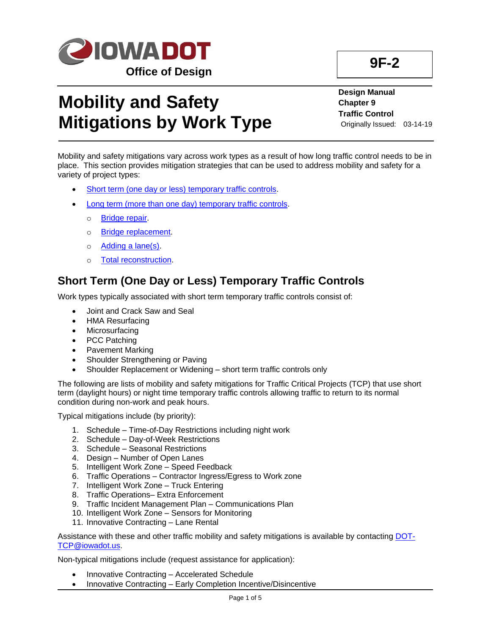

# **Mobility and Safety Mitigations by Work Type**

**Design Manual Chapter 9 Traffic Control** Originally Issued: 03-14-19

Mobility and safety mitigations vary across work types as a result of how long traffic control needs to be in place. This section provides mitigation strategies that can be used to address mobility and safety for a variety of project types:

- Short term [\(one day or less\) temporary traffic controls.](#page-0-0)
- Long term [\(more than one day\) temporary traffic controls.](#page-1-0)
	- o [Bridge repair.](#page-1-1)
	- o Bridge [replacement.](#page-2-0)
	- o **Adding a lane(s)**.
	- [Total reconstruction.](#page-3-1)

## <span id="page-0-0"></span>**Short Term (One Day or Less) Temporary Traffic Controls**

Work types typically associated with short term temporary traffic controls consist of:

- Joint and Crack Saw and Seal
- HMA Resurfacing
- Microsurfacing
- PCC Patching
- Pavement Marking
- Shoulder Strengthening or Paving
- Shoulder Replacement or Widening short term traffic controls only

The following are lists of mobility and safety mitigations for Traffic Critical Projects (TCP) that use short term (daylight hours) or night time temporary traffic controls allowing traffic to return to its normal condition during non-work and peak hours.

Typical mitigations include (by priority):

- 1. Schedule Time-of-Day Restrictions including night work
- 2. Schedule Day-of-Week Restrictions
- 3. Schedule Seasonal Restrictions
- 4. Design Number of Open Lanes
- 5. Intelligent Work Zone Speed Feedback
- 6. Traffic Operations Contractor Ingress/Egress to Work zone
- 7. Intelligent Work Zone Truck Entering
- 8. Traffic Operations– Extra Enforcement
- 9. Traffic Incident Management Plan Communications Plan
- 10. Intelligent Work Zone Sensors for Monitoring
- 11. Innovative Contracting Lane Rental

Assistance with these and other traffic mobility and safety mitigations is available by contacting [DOT-](mailto:DOT-TCP@iowadot.us)[TCP@iowadot.us.](mailto:DOT-TCP@iowadot.us)

- Innovative Contracting Accelerated Schedule
- Innovative Contracting Early Completion Incentive/Disincentive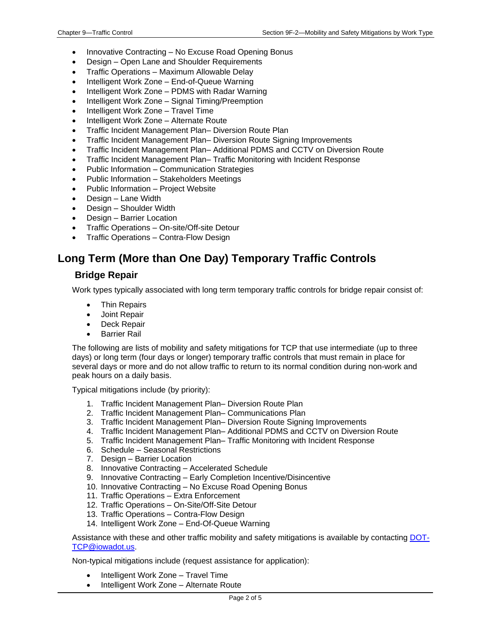- Innovative Contracting No Excuse Road Opening Bonus
- Design Open Lane and Shoulder Requirements
- Traffic Operations Maximum Allowable Delay
- Intelligent Work Zone End-of-Queue Warning
- Intelligent Work Zone PDMS with Radar Warning
- Intelligent Work Zone Signal Timing/Preemption
- Intelligent Work Zone Travel Time
- Intelligent Work Zone Alternate Route
- Traffic Incident Management Plan– Diversion Route Plan
- Traffic Incident Management Plan– Diversion Route Signing Improvements
- Traffic Incident Management Plan– Additional PDMS and CCTV on Diversion Route
- Traffic Incident Management Plan– Traffic Monitoring with Incident Response
- Public Information Communication Strategies
- Public Information Stakeholders Meetings
- Public Information Project Website
- Design Lane Width
- Design Shoulder Width
- Design Barrier Location
- Traffic Operations On-site/Off-site Detour
- Traffic Operations Contra-Flow Design

## <span id="page-1-0"></span>**Long Term (More than One Day) Temporary Traffic Controls**

#### <span id="page-1-1"></span>**Bridge Repair**

Work types typically associated with long term temporary traffic controls for bridge repair consist of:

- Thin Repairs
- Joint Repair
- Deck Repair
- **Barrier Rail**

The following are lists of mobility and safety mitigations for TCP that use intermediate (up to three days) or long term (four days or longer) temporary traffic controls that must remain in place for several days or more and do not allow traffic to return to its normal condition during non-work and peak hours on a daily basis.

Typical mitigations include (by priority):

- 1. Traffic Incident Management Plan– Diversion Route Plan
- 2. Traffic Incident Management Plan– Communications Plan
- 3. Traffic Incident Management Plan– Diversion Route Signing Improvements
- 4. Traffic Incident Management Plan– Additional PDMS and CCTV on Diversion Route
- 5. Traffic Incident Management Plan– Traffic Monitoring with Incident Response
- 6. Schedule Seasonal Restrictions
- 7. Design Barrier Location
- 8. Innovative Contracting Accelerated Schedule
- 9. Innovative Contracting Early Completion Incentive/Disincentive
- 10. Innovative Contracting No Excuse Road Opening Bonus
- 11. Traffic Operations Extra Enforcement
- 12. Traffic Operations On-Site/Off-Site Detour
- 13. Traffic Operations Contra-Flow Design
- 14. Intelligent Work Zone End-Of-Queue Warning

Assistance with these and other traffic mobility and safety mitigations is available by contacting [DOT-](mailto:DOT-TCP@iowadot.us)[TCP@iowadot.us.](mailto:DOT-TCP@iowadot.us)

- Intelligent Work Zone Travel Time
- Intelligent Work Zone Alternate Route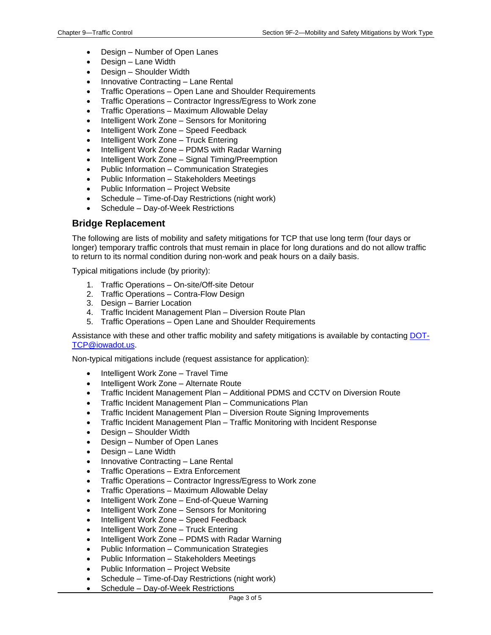- Design Number of Open Lanes
- Design Lane Width
- Design Shoulder Width
- Innovative Contracting Lane Rental
- Traffic Operations Open Lane and Shoulder Requirements
- Traffic Operations Contractor Ingress/Egress to Work zone
- Traffic Operations Maximum Allowable Delay
- Intelligent Work Zone Sensors for Monitoring
- Intelligent Work Zone Speed Feedback
- Intelligent Work Zone Truck Entering
- Intelligent Work Zone PDMS with Radar Warning
- Intelligent Work Zone Signal Timing/Preemption
- Public Information Communication Strategies
- Public Information Stakeholders Meetings
- Public Information Project Website
- Schedule Time-of-Day Restrictions (night work)
- Schedule Day-of-Week Restrictions

#### <span id="page-2-0"></span>**Bridge Replacement**

The following are lists of mobility and safety mitigations for TCP that use long term (four days or longer) temporary traffic controls that must remain in place for long durations and do not allow traffic to return to its normal condition during non-work and peak hours on a daily basis.

Typical mitigations include (by priority):

- 1. Traffic Operations On-site/Off-site Detour
- 2. Traffic Operations Contra-Flow Design
- 3. Design Barrier Location
- 4. Traffic Incident Management Plan Diversion Route Plan
- 5. Traffic Operations Open Lane and Shoulder Requirements

Assistance with these and other traffic mobility and safety mitigations is available by contacting [DOT-](mailto:DOT-TCP@iowadot.us)[TCP@iowadot.us.](mailto:DOT-TCP@iowadot.us)

- Intelligent Work Zone Travel Time
- Intelligent Work Zone Alternate Route
- Traffic Incident Management Plan Additional PDMS and CCTV on Diversion Route
- Traffic Incident Management Plan Communications Plan
- Traffic Incident Management Plan Diversion Route Signing Improvements
- Traffic Incident Management Plan Traffic Monitoring with Incident Response
- Design Shoulder Width
- Design Number of Open Lanes
- Design Lane Width
- Innovative Contracting Lane Rental
- Traffic Operations Extra Enforcement
- Traffic Operations Contractor Ingress/Egress to Work zone
- Traffic Operations Maximum Allowable Delay
- Intelligent Work Zone End-of-Queue Warning
- Intelligent Work Zone Sensors for Monitoring
- Intelligent Work Zone Speed Feedback
- Intelligent Work Zone Truck Entering
- Intelligent Work Zone PDMS with Radar Warning
- Public Information Communication Strategies
- Public Information Stakeholders Meetings
- Public Information Project Website
- Schedule Time-of-Day Restrictions (night work)
- Schedule Day-of-Week Restrictions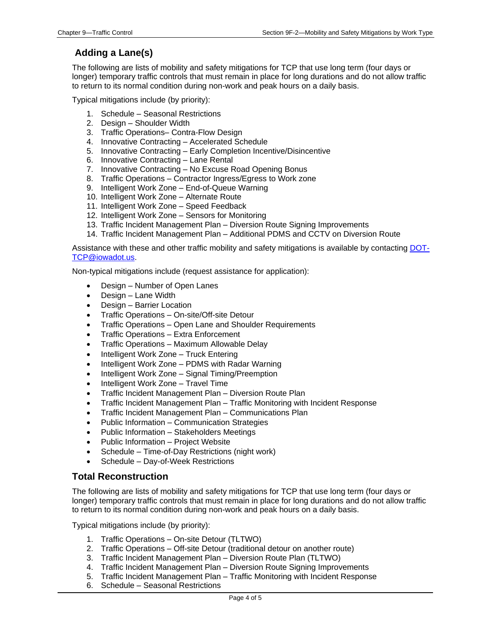### <span id="page-3-0"></span>**Adding a Lane(s)**

The following are lists of mobility and safety mitigations for TCP that use long term (four days or longer) temporary traffic controls that must remain in place for long durations and do not allow traffic to return to its normal condition during non-work and peak hours on a daily basis.

Typical mitigations include (by priority):

- 1. Schedule Seasonal Restrictions
- 2. Design Shoulder Width
- 3. Traffic Operations– Contra-Flow Design
- 4. Innovative Contracting Accelerated Schedule
- 5. Innovative Contracting Early Completion Incentive/Disincentive
- 6. Innovative Contracting Lane Rental
- 7. Innovative Contracting No Excuse Road Opening Bonus
- 8. Traffic Operations Contractor Ingress/Egress to Work zone
- 9. Intelligent Work Zone End-of-Queue Warning
- 10. Intelligent Work Zone Alternate Route
- 11. Intelligent Work Zone Speed Feedback
- 12. Intelligent Work Zone Sensors for Monitoring
- 13. Traffic Incident Management Plan Diversion Route Signing Improvements
- 14. Traffic Incident Management Plan Additional PDMS and CCTV on Diversion Route

Assistance with these and other traffic mobility and safety mitigations is available by contacting [DOT-](mailto:DOT-TCP@iowadot.us)[TCP@iowadot.us.](mailto:DOT-TCP@iowadot.us)

Non-typical mitigations include (request assistance for application):

- Design Number of Open Lanes
- Design Lane Width
- Design Barrier Location
- Traffic Operations On-site/Off-site Detour
- Traffic Operations Open Lane and Shoulder Requirements
- Traffic Operations Extra Enforcement
- Traffic Operations Maximum Allowable Delay
- Intelligent Work Zone Truck Entering
- Intelligent Work Zone PDMS with Radar Warning
- Intelligent Work Zone Signal Timing/Preemption
- Intelligent Work Zone Travel Time
- Traffic Incident Management Plan Diversion Route Plan
- Traffic Incident Management Plan Traffic Monitoring with Incident Response
- Traffic Incident Management Plan Communications Plan
- Public Information Communication Strategies
- Public Information Stakeholders Meetings
- Public Information Project Website
- Schedule Time-of-Day Restrictions (night work)
- Schedule Day-of-Week Restrictions

#### <span id="page-3-1"></span>**Total Reconstruction**

The following are lists of mobility and safety mitigations for TCP that use long term (four days or longer) temporary traffic controls that must remain in place for long durations and do not allow traffic to return to its normal condition during non-work and peak hours on a daily basis.

Typical mitigations include (by priority):

- 1. Traffic Operations On-site Detour (TLTWO)
- 2. Traffic Operations Off-site Detour (traditional detour on another route)
- 3. Traffic Incident Management Plan Diversion Route Plan (TLTWO)
- 4. Traffic Incident Management Plan Diversion Route Signing Improvements
- 5. Traffic Incident Management Plan Traffic Monitoring with Incident Response
- 6. Schedule Seasonal Restrictions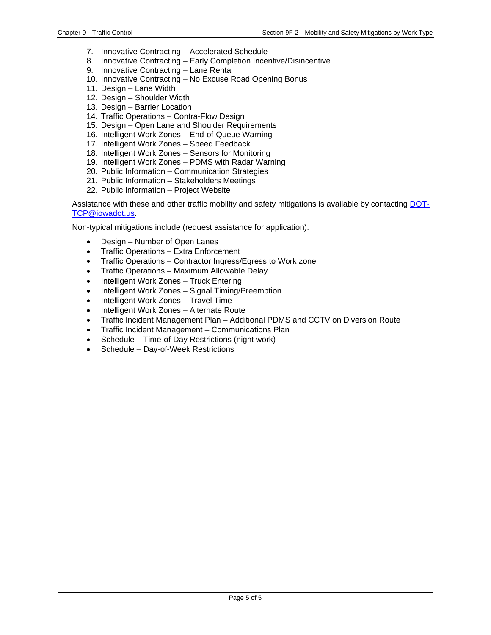- 7. Innovative Contracting Accelerated Schedule
- 8. Innovative Contracting Early Completion Incentive/Disincentive
- 9. Innovative Contracting Lane Rental
- 10. Innovative Contracting No Excuse Road Opening Bonus
- 11. Design Lane Width
- 12. Design Shoulder Width
- 13. Design Barrier Location
- 14. Traffic Operations Contra-Flow Design
- 15. Design Open Lane and Shoulder Requirements
- 16. Intelligent Work Zones End-of-Queue Warning
- 17. Intelligent Work Zones Speed Feedback
- 18. Intelligent Work Zones Sensors for Monitoring
- 19. Intelligent Work Zones PDMS with Radar Warning
- 20. Public Information Communication Strategies
- 21. Public Information Stakeholders Meetings
- 22. Public Information Project Website

Assistance with these and other traffic mobility and safety mitigations is available by contacting [DOT-](mailto:DOT-TCP@iowadot.us)[TCP@iowadot.us.](mailto:DOT-TCP@iowadot.us)

- Design Number of Open Lanes
- Traffic Operations Extra Enforcement
- Traffic Operations Contractor Ingress/Egress to Work zone
- Traffic Operations Maximum Allowable Delay
- Intelligent Work Zones Truck Entering
- Intelligent Work Zones Signal Timing/Preemption
- Intelligent Work Zones Travel Time
- Intelligent Work Zones Alternate Route
- Traffic Incident Management Plan Additional PDMS and CCTV on Diversion Route
- Traffic Incident Management Communications Plan
- Schedule Time-of-Day Restrictions (night work)
- Schedule Day-of-Week Restrictions